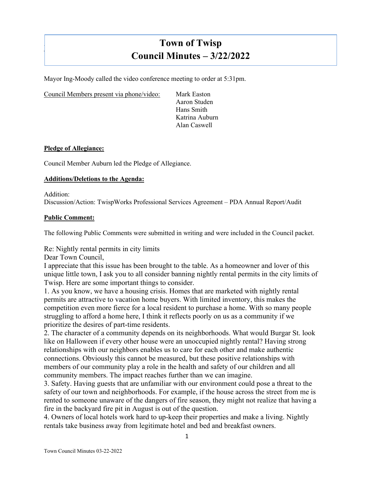# **Town of Twisp Council Minutes – 3/22/2022**

Mayor Ing-Moody called the video conference meeting to order at 5:31pm.

Council Members present via phone/video: Mark Easton

Aaron Studen Hans Smith Katrina Auburn Alan Caswell

#### **Pledge of Allegiance:**

 $\mathsf{I}$ 

Council Member Auburn led the Pledge of Allegiance.

## **Additions/Deletions to the Agenda:**

Addition: Discussion/Action: TwispWorks Professional Services Agreement – PDA Annual Report/Audit

#### **Public Comment:**

The following Public Comments were submitted in writing and were included in the Council packet.

Re: Nightly rental permits in city limits

Dear Town Council,

I appreciate that this issue has been brought to the table. As a homeowner and lover of this unique little town, I ask you to all consider banning nightly rental permits in the city limits of Twisp. Here are some important things to consider.

1. As you know, we have a housing crisis. Homes that are marketed with nightly rental permits are attractive to vacation home buyers. With limited inventory, this makes the competition even more fierce for a local resident to purchase a home. With so many people struggling to afford a home here, I think it reflects poorly on us as a community if we prioritize the desires of part-time residents.

2. The character of a community depends on its neighborhoods. What would Burgar St. look like on Halloween if every other house were an unoccupied nightly rental? Having strong relationships with our neighbors enables us to care for each other and make authentic connections. Obviously this cannot be measured, but these positive relationships with members of our community play a role in the health and safety of our children and all community members. The impact reaches further than we can imagine.

3. Safety. Having guests that are unfamiliar with our environment could pose a threat to the safety of our town and neighborhoods. For example, if the house across the street from me is rented to someone unaware of the dangers of fire season, they might not realize that having a fire in the backyard fire pit in August is out of the question.

4. Owners of local hotels work hard to up-keep their properties and make a living. Nightly rentals take business away from legitimate hotel and bed and breakfast owners.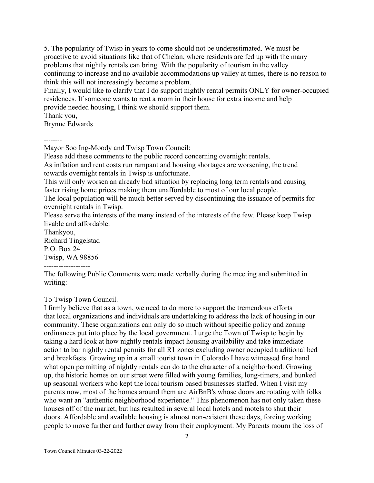5. The popularity of Twisp in years to come should not be underestimated. We must be proactive to avoid situations like that of Chelan, where residents are fed up with the many problems that nightly rentals can bring. With the popularity of tourism in the valley continuing to increase and no available accommodations up valley at times, there is no reason to think this will not increasingly become a problem.

Finally, I would like to clarify that I do support nightly rental permits ONLY for owner-occupied residences. If someone wants to rent a room in their house for extra income and help provide needed housing, I think we should support them.

Thank you,

Brynne Edwards

--------

Mayor Soo Ing-Moody and Twisp Town Council:

Please add these comments to the public record concerning overnight rentals.

As inflation and rent costs run rampant and housing shortages are worsening, the trend towards overnight rentals in Twisp is unfortunate.

This will only worsen an already bad situation by replacing long term rentals and causing faster rising home prices making them unaffordable to most of our local people.

The local population will be much better served by discontinuing the issuance of permits for overnight rentals in Twisp.

Please serve the interests of the many instead of the interests of the few. Please keep Twisp livable and affordable.

Thankyou, Richard Tingelstad P.O. Box 24 Twisp, WA 98856 -------------------

The following Public Comments were made verbally during the meeting and submitted in writing:

To Twisp Town Council.

I firmly believe that as a town, we need to do more to support the tremendous efforts that local organizations and individuals are undertaking to address the lack of housing in our community. These organizations can only do so much without specific policy and zoning ordinances put into place by the local government. I urge the Town of Twisp to begin by taking a hard look at how nightly rentals impact housing availability and take immediate action to bar nightly rental permits for all R1 zones excluding owner occupied traditional bed and breakfasts. Growing up in a small tourist town in Colorado I have witnessed first hand what open permitting of nightly rentals can do to the character of a neighborhood. Growing up, the historic homes on our street were filled with young families, long-timers, and bunked up seasonal workers who kept the local tourism based businesses staffed. When I visit my parents now, most of the homes around them are AirBnB's whose doors are rotating with folks who want an "authentic neighborhood experience." This phenomenon has not only taken these houses off of the market, but has resulted in several local hotels and motels to shut their doors. Affordable and available housing is almost non-existent these days, forcing working people to move further and further away from their employment. My Parents mourn the loss of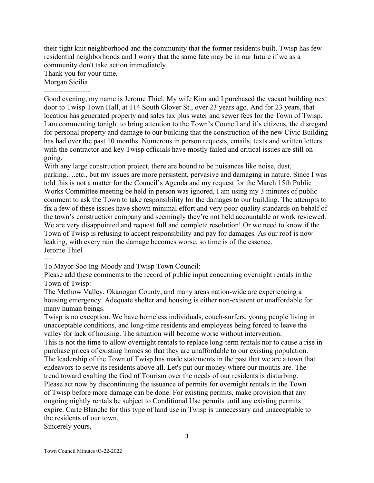their tight knit neighborhood and the community that the former residents built. Twisp has few residential neighborhoods and I worry that the same fate may be in our future if we as a community don't take action immediately.

Thank you for your time,

Morgan Sicilia

-------------------

Good evening, my name is Jerome Thiel. My wife Kim and I purchased the vacant building next door to Twisp Town Hall, at 114 South Glover St., over 23 years ago. And for 23 years, that location has generated property and sales tax plus water and sewer fees for the Town of Twisp. I am commenting tonight to bring attention to the Town's Council and it's citizens, the disregard for personal property and damage to our building that the construction of the new Civic Building has had over the past 10 months. Numerous in person requests, emails, texts and written letters with the contractor and key Twisp officials have mostly failed and critical issues are still ongoing.

With any large construction project, there are bound to be nuisances like noise, dust, parking….etc., but my issues are more persistent, pervasive and damaging in nature. Since I was told this is not a matter for the Council's Agenda and my request for the March 15th Public Works Committee meeting be held in person was ignored, I am using my 3 minutes of public comment to ask the Town to take responsibility for the damages to our building. The attempts to fix a few of these issues have shown minimal effort and very poor-quality standards on behalf of the town's construction company and seemingly they're not held accountable or work reviewed. We are very disappointed and request full and complete resolution! Or we need to know if the Town of Twisp is refusing to accept responsibility and pay for damages. As our roof is now leaking, with every rain the damage becomes worse, so time is of the essence. Jerome Thiel

----

To Mayor Soo Ing-Moody and Twisp Town Council:

Please add these comments to the record of public input concerning overnight rentals in the Town of Twisp:

The Methow Valley, Okanogan County, and many areas nation-wide are experiencing a housing emergency. Adequate shelter and housing is either non-existent or unaffordable for many human beings.

Twisp is no exception. We have homeless individuals, couch-surfers, young people living in unacceptable conditions, and long-time residents and employees being forced to leave the valley for lack of housing. The situation will become worse without intervention. This is not the time to allow overnight rentals to replace long-term rentals nor to cause a rise in

purchase prices of existing homes so that they are unaffordable to our existing population. The leadership of the Town of Twisp has made statements in the past that we are a town that endeavors to serve its residents above all. Let's put our money where our mouths are. The trend toward exalting the God of Tourism over the needs of our residents is disturbing. Please act now by discontinuing the issuance of permits for overnight rentals in the Town of Twisp before more damage can be done. For existing permits, make provision that any ongoing nightly rentals be subject to Conditional Use permits until any existing permits expire. Carte Blanche for this type of land use in Twisp is unnecessary and unacceptable to the residents of our town.

Sincerely yours,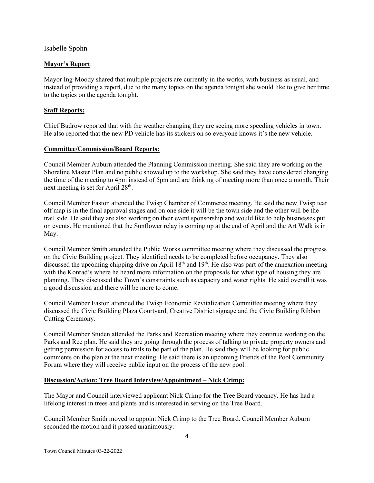Isabelle Spohn

# **Mayor's Report**:

Mayor Ing-Moody shared that multiple projects are currently in the works, with business as usual, and instead of providing a report, due to the many topics on the agenda tonight she would like to give her time to the topics on the agenda tonight.

# **Staff Reports:**

Chief Budrow reported that with the weather changing they are seeing more speeding vehicles in town. He also reported that the new PD vehicle has its stickers on so everyone knows it's the new vehicle.

# **Committee/Commission/Board Reports:**

Council Member Auburn attended the Planning Commission meeting. She said they are working on the Shoreline Master Plan and no public showed up to the workshop. She said they have considered changing the time of the meeting to 4pm instead of 5pm and are thinking of meeting more than once a month. Their next meeting is set for April 28th.

Council Member Easton attended the Twisp Chamber of Commerce meeting. He said the new Twisp tear off map is in the final approval stages and on one side it will be the town side and the other will be the trail side. He said they are also working on their event sponsorship and would like to help businesses put on events. He mentioned that the Sunflower relay is coming up at the end of April and the Art Walk is in May.

Council Member Smith attended the Public Works committee meeting where they discussed the progress on the Civic Building project. They identified needs to be completed before occupancy. They also discussed the upcoming chipping drive on April  $18<sup>th</sup>$  and  $19<sup>th</sup>$ . He also was part of the annexation meeting with the Konrad's where he heard more information on the proposals for what type of housing they are planning. They discussed the Town's constraints such as capacity and water rights. He said overall it was a good discussion and there will be more to come.

Council Member Easton attended the Twisp Economic Revitalization Committee meeting where they discussed the Civic Building Plaza Courtyard, Creative District signage and the Civic Building Ribbon Cutting Ceremony.

Council Member Studen attended the Parks and Recreation meeting where they continue working on the Parks and Rec plan. He said they are going through the process of talking to private property owners and getting permission for access to trails to be part of the plan. He said they will be looking for public comments on the plan at the next meeting. He said there is an upcoming Friends of the Pool Community Forum where they will receive public input on the process of the new pool.

# **Discussion/Action: Tree Board Interview/Appointment – Nick Crimp:**

The Mayor and Council interviewed applicant Nick Crimp for the Tree Board vacancy. He has had a lifelong interest in trees and plants and is interested in serving on the Tree Board.

Council Member Smith moved to appoint Nick Crimp to the Tree Board. Council Member Auburn seconded the motion and it passed unanimously.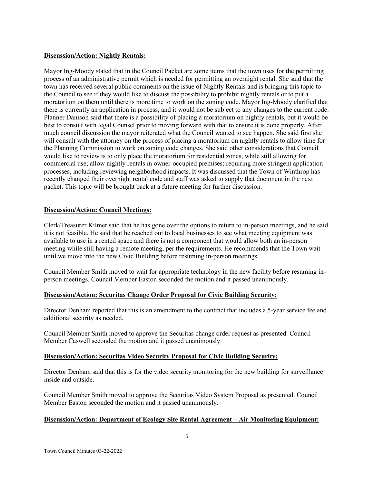# **Discussion/Action: Nightly Rentals:**

Mayor Ing-Moody stated that in the Council Packet are some items that the town uses for the permitting process of an administrative permit which is needed for permitting an overnight rental. She said that the town has received several public comments on the issue of Nightly Rentals and is bringing this topic to the Council to see if they would like to discuss the possibility to prohibit nightly rentals or to put a moratorium on them until there is more time to work on the zoning code. Mayor Ing-Moody clarified that there is currently an application in process, and it would not be subject to any changes to the current code. Planner Danison said that there is a possibility of placing a moratorium on nightly rentals, but it would be best to consult with legal Counsel prior to moving forward with that to ensure it is done properly. After much council discussion the mayor reiterated what the Council wanted to see happen. She said first she will consult with the attorney on the process of placing a moratorium on nightly rentals to allow time for the Planning Commission to work on zoning code changes. She said other considerations that Council would like to review is to only place the moratorium for residential zones, while still allowing for commercial use; allow nightly rentals in owner-occupied premises; requiring more stringent application processes, including reviewing neighborhood impacts. It was discussed that the Town of Winthrop has recently changed their overnight rental code and staff was asked to supply that document in the next packet. This topic will be brought back at a future meeting for further discussion.

# **Discussion/Action: Council Meetings:**

Clerk/Treasurer Kilmer said that he has gone over the options to return to in-person meetings, and he said it is not feasible. He said that he reached out to local businesses to see what meeting equipment was available to use in a rented space and there is not a component that would allow both an in-person meeting while still having a remote meeting, per the requirements. He recommends that the Town wait until we move into the new Civic Building before resuming in-person meetings.

Council Member Smith moved to wait for appropriate technology in the new facility before resuming inperson meetings. Council Member Easton seconded the motion and it passed unanimously.

## **Discussion/Action: Securitas Change Order Proposal for Civic Building Security:**

Director Denham reported that this is an amendment to the contract that includes a 5-year service fee and additional security as needed.

Council Member Smith moved to approve the Securitas change order request as presented. Council Member Caswell seconded the motion and it passed unanimously.

## **Discussion/Action: Securitas Video Security Proposal for Civic Building Security:**

Director Denham said that this is for the video security monitoring for the new building for surveillance inside and outside.

Council Member Smith moved to approve the Securitas Video System Proposal as presented. Council Member Easton seconded the motion and it passed unanimously.

## **Discussion/Action: Department of Ecology Site Rental Agreement – Air Monitoring Equipment:**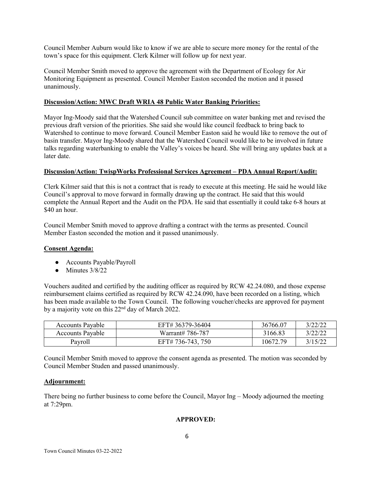Council Member Auburn would like to know if we are able to secure more money for the rental of the town's space for this equipment. Clerk Kilmer will follow up for next year.

Council Member Smith moved to approve the agreement with the Department of Ecology for Air Monitoring Equipment as presented. Council Member Easton seconded the motion and it passed unanimously.

## **Discussion/Action: MWC Draft WRIA 48 Public Water Banking Priorities:**

Mayor Ing-Moody said that the Watershed Council sub committee on water banking met and revised the previous draft version of the priorities. She said she would like council feedback to bring back to Watershed to continue to move forward. Council Member Easton said he would like to remove the out of basin transfer. Mayor Ing-Moody shared that the Watershed Council would like to be involved in future talks regarding waterbanking to enable the Valley's voices be heard. She will bring any updates back at a later date.

#### **Discussion/Action: TwispWorks Professional Services Agreement – PDA Annual Report/Audit:**

Clerk Kilmer said that this is not a contract that is ready to execute at this meeting. He said he would like Council's approval to move forward in formally drawing up the contract. He said that this would complete the Annual Report and the Audit on the PDA. He said that essentially it could take 6-8 hours at \$40 an hour.

Council Member Smith moved to approve drafting a contract with the terms as presented. Council Member Easton seconded the motion and it passed unanimously.

#### **Consent Agenda:**

- Accounts Payable/Payroll
- $\bullet$  Minutes  $3/8/22$

Vouchers audited and certified by the auditing officer as required by RCW 42.24.080, and those expense reimbursement claims certified as required by RCW 42.24.090, have been recorded on a listing, which has been made available to the Town Council. The following voucher/checks are approved for payment by a majority vote on this 22<sup>nd</sup> day of March 2022.

| <b>Accounts Pavable</b> | EFT# 36379-36404  | 36766.07 | 3/22/22 |
|-------------------------|-------------------|----------|---------|
| <b>Accounts Payable</b> | Warrant# 786-787  | 3166.83  | 3/22/22 |
| Payroll                 | EFT# 736-743, 750 | 10672.79 | 3/15/22 |

Council Member Smith moved to approve the consent agenda as presented. The motion was seconded by Council Member Studen and passed unanimously.

#### **Adjournment:**

There being no further business to come before the Council, Mayor Ing – Moody adjourned the meeting at 7:29pm.

## **APPROVED:**